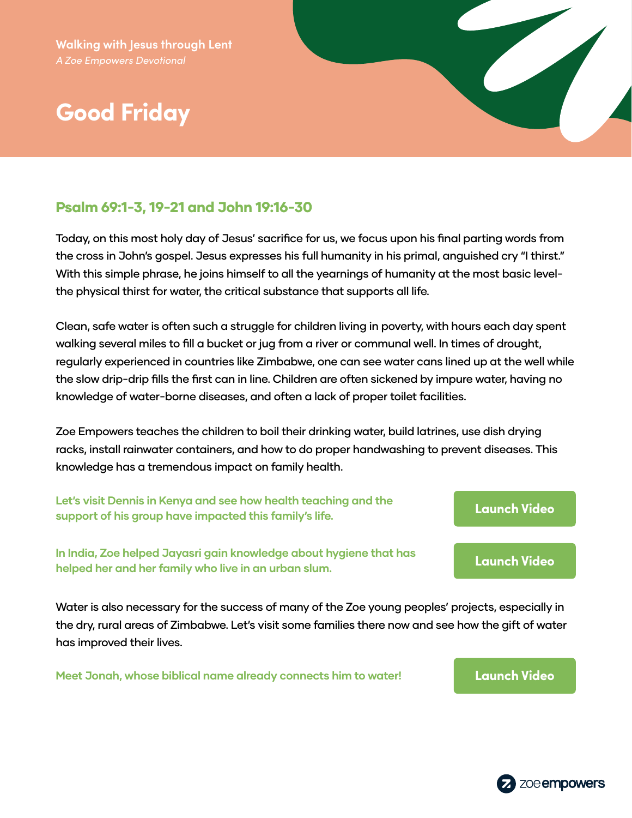# **Good Friday**



#### Psalm 69:1-3, 19-21 and John 19:16-30

Today, on this most holy day of Jesus' sacrifice for us, we focus upon his final parting words from the cross in John's gospel. Jesus expresses his full humanity in his primal, anguished cry "I thirst." With this simple phrase, he joins himself to all the yearnings of humanity at the most basic levelthe physical thirst for water, the critical substance that supports all life.

Clean, safe water is often such a struggle for children living in poverty, with hours each day spent walking several miles to fill a bucket or jug from a river or communal well. In times of drought, regularly experienced in countries like Zimbabwe, one can see water cans lined up at the well while the slow drip-drip fills the first can in line. Children are often sickened by impure water, having no knowledge of water-borne diseases, and often a lack of proper toilet facilities.

Zoe Empowers teaches the children to boil their drinking water, build latrines, use dish drying racks, install rainwater containers, and how to do proper handwashing to prevent diseases. This knowledge has a tremendous impact on family health.

**Let's visit Dennis in Kenya and see how health teaching and the support of his group have impacted this family's life. [Launch Video](https://zmpw.rs/Dennis)**

**In India, Zoe helped Jayasri gain knowledge about hygiene that has helped her and her family who live in an urban slum. [Launch Video](https://zmpw.rs/Jaysari)**

Water is also necessary for the success of many of the Zoe young peoples' projects, especially in the dry, rural areas of Zimbabwe. Let's visit some families there now and see how the gift of water has improved their lives.

**Meet Jonah, whose biblical name already connects him to water! [Launch Video](https://zmpw.rs/Jonah)**

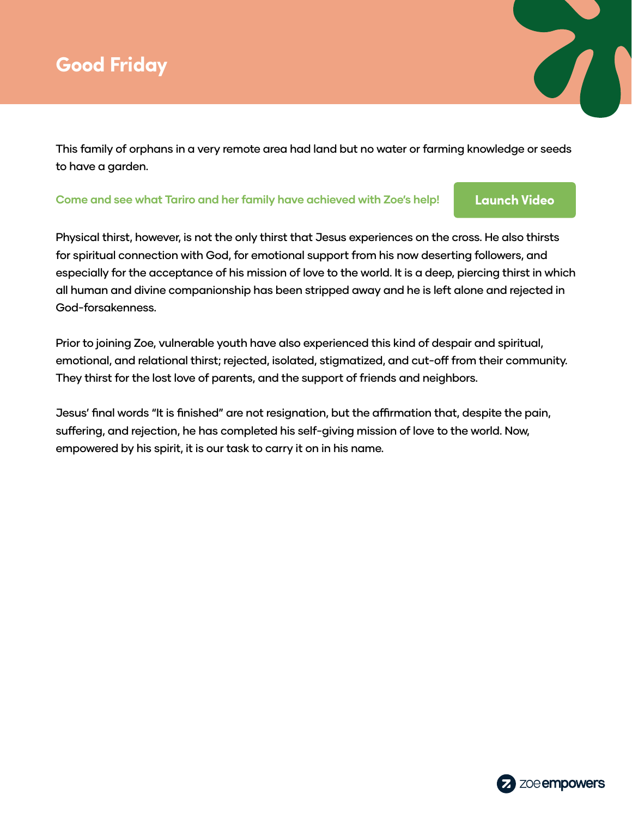## **Good Friday**

This family of orphans in a very remote area had land but no water or farming knowledge or seeds to have a garden.

#### **Come and see what Tariro and her family have achieved with Zoe's help! [Launch Video](https://zmpw.rs/Tariro)**

 $\overline{\mathcal{C}}$ 

Physical thirst, however, is not the only thirst that Jesus experiences on the cross. He also thirsts for spiritual connection with God, for emotional support from his now deserting followers, and especially for the acceptance of his mission of love to the world. It is a deep, piercing thirst in which all human and divine companionship has been stripped away and he is left alone and rejected in God-forsakenness.

Prior to joining Zoe, vulnerable youth have also experienced this kind of despair and spiritual, emotional, and relational thirst; rejected, isolated, stigmatized, and cut-off from their community. They thirst for the lost love of parents, and the support of friends and neighbors.

Jesus' final words "It is finished" are not resignation, but the affirmation that, despite the pain, suffering, and rejection, he has completed his self-giving mission of love to the world. Now, empowered by his spirit, it is our task to carry it on in his name.